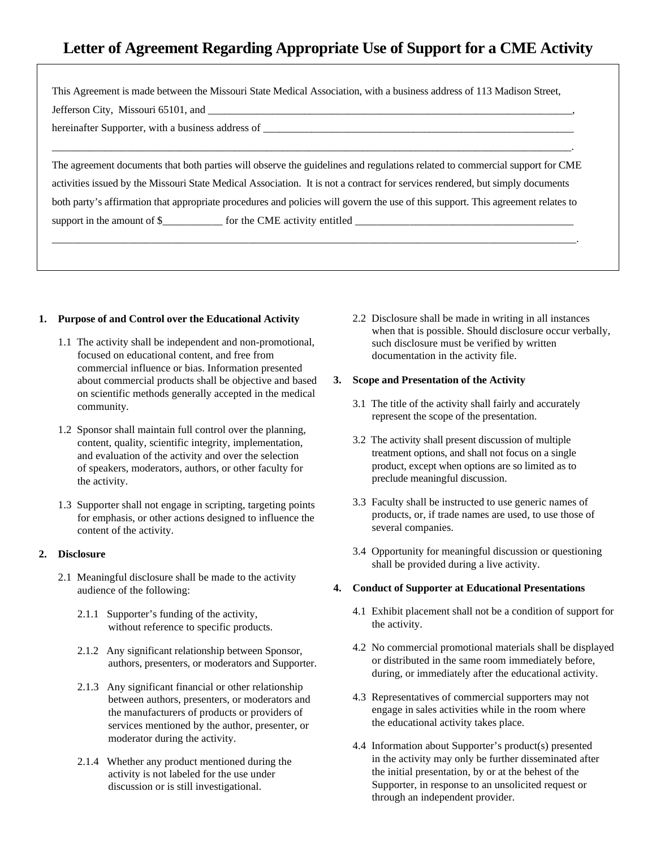# **Letter of Agreement Regarding Appropriate Use of Support for a CME Activity**

This Agreement is made between the Missouri State Medical Association, with a business address of 113 Madison Street,

Jefferson City, Missouri 65101, and

hereinafter Supporter, with a business address of \_\_\_\_\_\_\_\_\_\_\_\_\_\_\_\_\_\_\_\_\_\_\_\_\_\_\_\_\_\_\_\_\_\_\_\_\_\_\_\_\_\_\_\_\_\_\_\_\_\_\_\_\_\_\_\_\_\_

The agreement documents that both parties will observe the guidelines and regulations related to commercial support for CME activities issued by the Missouri State Medical Association. It is not a contract for services rendered, but simply documents both party's affirmation that appropriate procedures and policies will govern the use of this support. This agreement relates to support in the amount of \$\_\_\_\_\_\_\_\_\_\_\_ for the CME activity entitled \_\_\_\_\_\_\_\_\_\_\_\_\_\_\_\_\_\_\_\_\_\_\_\_\_\_\_\_\_\_\_\_\_\_\_\_\_\_\_\_

\_\_\_\_\_\_\_\_\_\_\_\_\_\_\_\_\_\_\_\_\_\_\_\_\_\_\_\_\_\_\_\_\_\_\_\_\_\_\_\_\_\_\_\_\_\_\_\_\_\_\_\_\_\_\_\_\_\_\_\_\_\_\_\_\_\_\_\_\_\_\_\_\_\_\_\_\_\_\_\_\_\_\_\_\_\_\_\_\_\_\_\_\_\_\_\_.

\_\_\_\_\_\_\_\_\_\_\_\_\_\_\_\_\_\_\_\_\_\_\_\_\_\_\_\_\_\_\_\_\_\_\_\_\_\_\_\_\_\_\_\_\_\_\_\_\_\_\_\_\_\_\_\_\_\_\_\_\_\_\_\_\_\_\_\_\_\_\_\_\_\_\_\_\_\_\_\_\_\_\_\_\_\_\_\_\_\_\_\_\_\_\_\_\_.

#### **1. Purpose of and Control over the Educational Activity**

- 1.1 The activity shall be independent and non-promotional, focused on educational content, and free from commercial influence or bias. Information presented about commercial products shall be objective and based on scientific methods generally accepted in the medical community.
- 1.2 Sponsor shall maintain full control over the planning, content, quality, scientific integrity, implementation, and evaluation of the activity and over the selection of speakers, moderators, authors, or other faculty for the activity.
- 1.3 Supporter shall not engage in scripting, targeting points for emphasis, or other actions designed to influence the content of the activity.

### **2. Disclosure**

- 2.1 Meaningful disclosure shall be made to the activity audience of the following:
	- 2.1.1 Supporter's funding of the activity, without reference to specific products.
	- 2.1.2 Any significant relationship between Sponsor, authors, presenters, or moderators and Supporter.
	- 2.1.3 Any significant financial or other relationship between authors, presenters, or moderators and the manufacturers of products or providers of services mentioned by the author, presenter, or moderator during the activity.
	- 2.1.4 Whether any product mentioned during the activity is not labeled for the use under discussion or is still investigational.

2.2 Disclosure shall be made in writing in all instances when that is possible. Should disclosure occur verbally, such disclosure must be verified by written documentation in the activity file.

#### **3. Scope and Presentation of the Activity**

- 3.1 The title of the activity shall fairly and accurately represent the scope of the presentation.
- 3.2 The activity shall present discussion of multiple treatment options, and shall not focus on a single product, except when options are so limited as to preclude meaningful discussion.
- 3.3 Faculty shall be instructed to use generic names of products, or, if trade names are used, to use those of several companies.
- 3.4 Opportunity for meaningful discussion or questioning shall be provided during a live activity.

#### **4. Conduct of Supporter at Educational Presentations**

- 4.1 Exhibit placement shall not be a condition of support for the activity.
- 4.2 No commercial promotional materials shall be displayed or distributed in the same room immediately before, during, or immediately after the educational activity.
- 4.3 Representatives of commercial supporters may not engage in sales activities while in the room where the educational activity takes place.
- 4.4 Information about Supporter's product(s) presented in the activity may only be further disseminated after the initial presentation, by or at the behest of the Supporter, in response to an unsolicited request or through an independent provider.